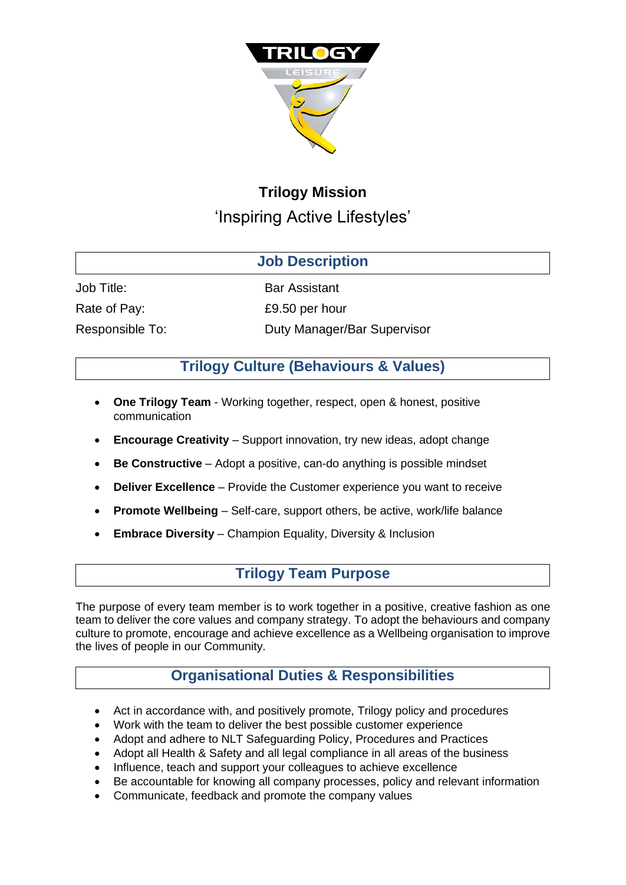

# **Trilogy Mission** 'Inspiring Active Lifestyles'

### **Job Description**

Job Title: Bar Assistant

Rate of Pay: Same Rate of Pay: E9.50 per hour

Responsible To: Duty Manager/Bar Supervisor

## **Trilogy Culture (Behaviours & Values)**

- **One Trilogy Team**  Working together, respect, open & honest, positive communication
- **Encourage Creativity** Support innovation, try new ideas, adopt change
- **Be Constructive**  Adopt a positive, can-do anything is possible mindset
- **Deliver Excellence** Provide the Customer experience you want to receive
- **Promote Wellbeing**  Self-care, support others, be active, work/life balance
- **Embrace Diversity** Champion Equality, Diversity & Inclusion

### **Trilogy Team Purpose**

The purpose of every team member is to work together in a positive, creative fashion as one team to deliver the core values and company strategy. To adopt the behaviours and company culture to promote, encourage and achieve excellence as a Wellbeing organisation to improve the lives of people in our Community.

## **Organisational Duties & Responsibilities**

- Act in accordance with, and positively promote, Trilogy policy and procedures
- Work with the team to deliver the best possible customer experience
- Adopt and adhere to NLT Safeguarding Policy, Procedures and Practices
- Adopt all Health & Safety and all legal compliance in all areas of the business
- Influence, teach and support your colleagues to achieve excellence
- Be accountable for knowing all company processes, policy and relevant information
- Communicate, feedback and promote the company values